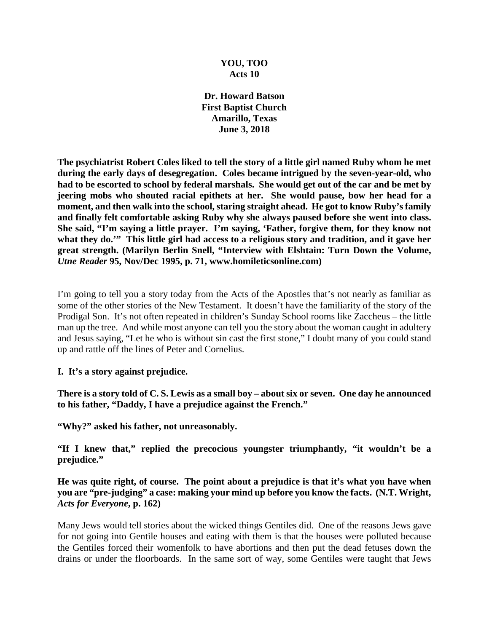## **YOU, TOO Acts 10**

**Dr. Howard Batson First Baptist Church Amarillo, Texas June 3, 2018**

**The psychiatrist Robert Coles liked to tell the story of a little girl named Ruby whom he met during the early days of desegregation. Coles became intrigued by the seven-year-old, who had to be escorted to school by federal marshals. She would get out of the car and be met by jeering mobs who shouted racial epithets at her. She would pause, bow her head for a moment, and then walk into the school, staring straight ahead. He got to know Ruby's family and finally felt comfortable asking Ruby why she always paused before she went into class. She said, "I'm saying a little prayer. I'm saying, 'Father, forgive them, for they know not**  what they do."" This little girl had access to a religious story and tradition, and it gave her **great strength. (Marilyn Berlin Snell, "Interview with Elshtain: Turn Down the Volume,**  *Utne Reader* **95, Nov/Dec 1995, p. 71, www.homileticsonline.com)**

I'm going to tell you a story today from the Acts of the Apostles that's not nearly as familiar as some of the other stories of the New Testament. It doesn't have the familiarity of the story of the Prodigal Son. It's not often repeated in children's Sunday School rooms like Zaccheus – the little man up the tree. And while most anyone can tell you the story about the woman caught in adultery and Jesus saying, "Let he who is without sin cast the first stone," I doubt many of you could stand up and rattle off the lines of Peter and Cornelius.

## **I. It's a story against prejudice.**

**There is a story told of C. S. Lewis as a small boy – about six or seven. One day he announced to his father, "Daddy, I have a prejudice against the French."**

**"Why?" asked his father, not unreasonably.**

**"If I knew that," replied the precocious youngster triumphantly, "it wouldn't be a prejudice."**

## **He was quite right, of course. The point about a prejudice is that it's what you have when you are "pre-judging" a case: making your mind up before you know the facts. (N.T. Wright,**  *Acts for Everyone***, p. 162)**

Many Jews would tell stories about the wicked things Gentiles did. One of the reasons Jews gave for not going into Gentile houses and eating with them is that the houses were polluted because the Gentiles forced their womenfolk to have abortions and then put the dead fetuses down the drains or under the floorboards. In the same sort of way, some Gentiles were taught that Jews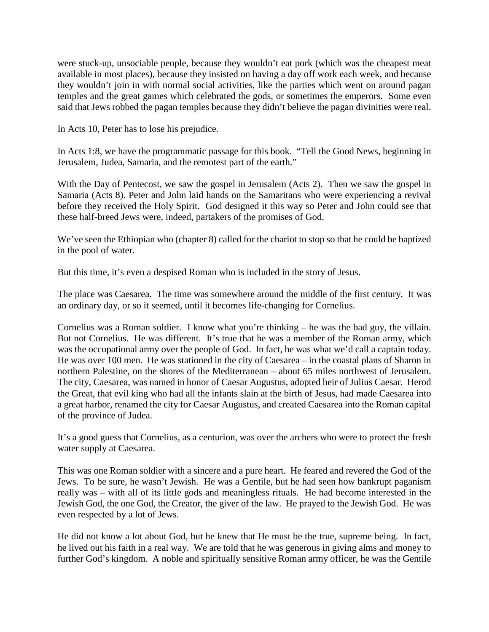were stuck-up, unsociable people, because they wouldn't eat pork (which was the cheapest meat available in most places), because they insisted on having a day off work each week, and because they wouldn't join in with normal social activities, like the parties which went on around pagan temples and the great games which celebrated the gods, or sometimes the emperors. Some even said that Jews robbed the pagan temples because they didn't believe the pagan divinities were real.

In Acts 10, Peter has to lose his prejudice.

In Acts 1:8, we have the programmatic passage for this book. "Tell the Good News, beginning in Jerusalem, Judea, Samaria, and the remotest part of the earth."

With the Day of Pentecost, we saw the gospel in Jerusalem (Acts 2). Then we saw the gospel in Samaria (Acts 8). Peter and John laid hands on the Samaritans who were experiencing a revival before they received the Holy Spirit. God designed it this way so Peter and John could see that these half-breed Jews were, indeed, partakers of the promises of God.

We've seen the Ethiopian who (chapter 8) called for the chariot to stop so that he could be baptized in the pool of water.

But this time, it's even a despised Roman who is included in the story of Jesus.

The place was Caesarea. The time was somewhere around the middle of the first century. It was an ordinary day, or so it seemed, until it becomes life-changing for Cornelius.

Cornelius was a Roman soldier. I know what you're thinking – he was the bad guy, the villain. But not Cornelius. He was different. It's true that he was a member of the Roman army, which was the occupational army over the people of God. In fact, he was what we'd call a captain today. He was over 100 men. He was stationed in the city of Caesarea – in the coastal plans of Sharon in northern Palestine, on the shores of the Mediterranean – about 65 miles northwest of Jerusalem. The city, Caesarea, was named in honor of Caesar Augustus, adopted heir of Julius Caesar. Herod the Great, that evil king who had all the infants slain at the birth of Jesus, had made Caesarea into a great harbor, renamed the city for Caesar Augustus, and created Caesarea into the Roman capital of the province of Judea.

It's a good guess that Cornelius, as a centurion, was over the archers who were to protect the fresh water supply at Caesarea.

This was one Roman soldier with a sincere and a pure heart. He feared and revered the God of the Jews. To be sure, he wasn't Jewish. He was a Gentile, but he had seen how bankrupt paganism really was – with all of its little gods and meaningless rituals. He had become interested in the Jewish God, the one God, the Creator, the giver of the law. He prayed to the Jewish God. He was even respected by a lot of Jews.

He did not know a lot about God, but he knew that He must be the true, supreme being. In fact, he lived out his faith in a real way. We are told that he was generous in giving alms and money to further God's kingdom. A noble and spiritually sensitive Roman army officer, he was the Gentile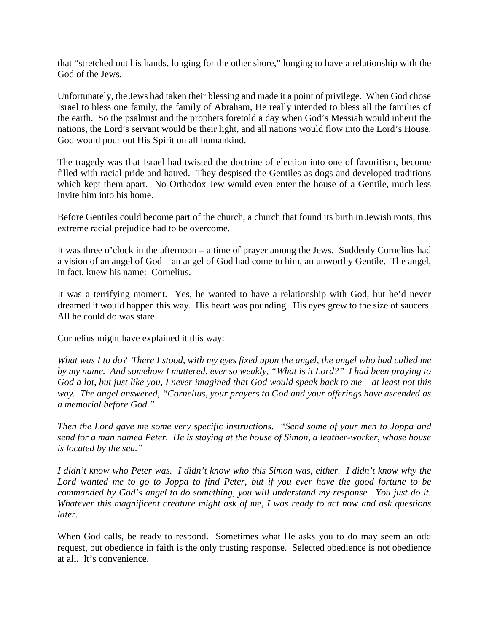that "stretched out his hands, longing for the other shore," longing to have a relationship with the God of the Jews.

Unfortunately, the Jews had taken their blessing and made it a point of privilege. When God chose Israel to bless one family, the family of Abraham, He really intended to bless all the families of the earth. So the psalmist and the prophets foretold a day when God's Messiah would inherit the nations, the Lord's servant would be their light, and all nations would flow into the Lord's House. God would pour out His Spirit on all humankind.

The tragedy was that Israel had twisted the doctrine of election into one of favoritism, become filled with racial pride and hatred. They despised the Gentiles as dogs and developed traditions which kept them apart. No Orthodox Jew would even enter the house of a Gentile, much less invite him into his home.

Before Gentiles could become part of the church, a church that found its birth in Jewish roots, this extreme racial prejudice had to be overcome.

It was three o'clock in the afternoon – a time of prayer among the Jews. Suddenly Cornelius had a vision of an angel of God – an angel of God had come to him, an unworthy Gentile. The angel, in fact, knew his name: Cornelius.

It was a terrifying moment. Yes, he wanted to have a relationship with God, but he'd never dreamed it would happen this way. His heart was pounding. His eyes grew to the size of saucers. All he could do was stare.

Cornelius might have explained it this way:

*What was I to do? There I stood, with my eyes fixed upon the angel, the angel who had called me by my name. And somehow I muttered, ever so weakly, "What is it Lord?" I had been praying to God a lot, but just like you, I never imagined that God would speak back to me – at least not this way. The angel answered, "Cornelius, your prayers to God and your offerings have ascended as a memorial before God."* 

*Then the Lord gave me some very specific instructions. "Send some of your men to Joppa and send for a man named Peter. He is staying at the house of Simon, a leather-worker, whose house is located by the sea."* 

*I didn't know who Peter was. I didn't know who this Simon was, either. I didn't know why the Lord wanted me to go to Joppa to find Peter, but if you ever have the good fortune to be commanded by God's angel to do something, you will understand my response. You just do it. Whatever this magnificent creature might ask of me, I was ready to act now and ask questions later.* 

When God calls, be ready to respond. Sometimes what He asks you to do may seem an odd request, but obedience in faith is the only trusting response. Selected obedience is not obedience at all. It's convenience.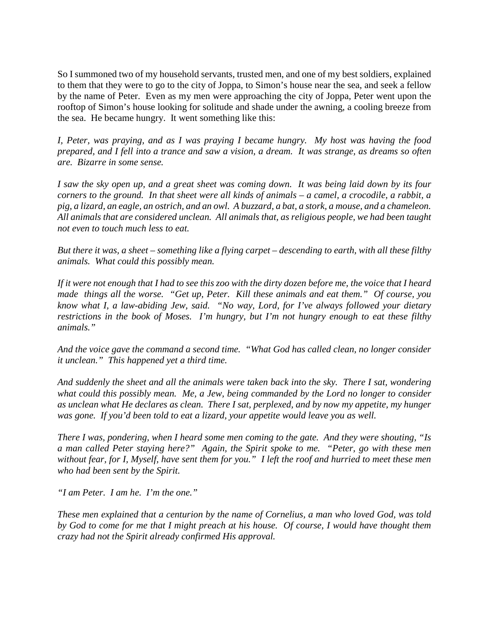So I summoned two of my household servants, trusted men, and one of my best soldiers, explained to them that they were to go to the city of Joppa, to Simon's house near the sea, and seek a fellow by the name of Peter. Even as my men were approaching the city of Joppa, Peter went upon the rooftop of Simon's house looking for solitude and shade under the awning, a cooling breeze from the sea. He became hungry. It went something like this:

*I, Peter, was praying, and as I was praying I became hungry. My host was having the food prepared, and I fell into a trance and saw a vision, a dream. It was strange, as dreams so often are. Bizarre in some sense.* 

*I saw the sky open up, and a great sheet was coming down. It was being laid down by its four corners to the ground. In that sheet were all kinds of animals – a camel, a crocodile, a rabbit, a pig, a lizard, an eagle, an ostrich, and an owl. A buzzard, a bat, a stork, a mouse, and a chameleon. All animals that are considered unclean. All animals that, as religious people, we had been taught not even to touch much less to eat.*

*But there it was, a sheet – something like a flying carpet – descending to earth, with all these filthy animals. What could this possibly mean.* 

*If it were not enough that I had to see this zoo with the dirty dozen before me, the voice that I heard made things all the worse. "Get up, Peter. Kill these animals and eat them." Of course, you know what I, a law-abiding Jew, said. "No way, Lord, for I've always followed your dietary restrictions in the book of Moses. I'm hungry, but I'm not hungry enough to eat these filthy animals."*

*And the voice gave the command a second time. "What God has called clean, no longer consider it unclean." This happened yet a third time.* 

*And suddenly the sheet and all the animals were taken back into the sky. There I sat, wondering what could this possibly mean. Me, a Jew, being commanded by the Lord no longer to consider as unclean what He declares as clean. There I sat, perplexed, and by now my appetite, my hunger was gone. If you'd been told to eat a lizard, your appetite would leave you as well.*

*There I was, pondering, when I heard some men coming to the gate. And they were shouting, "Is a man called Peter staying here?" Again, the Spirit spoke to me. "Peter, go with these men without fear, for I, Myself, have sent them for you." I left the roof and hurried to meet these men who had been sent by the Spirit.* 

*"I am Peter. I am he. I'm the one."* 

*These men explained that a centurion by the name of Cornelius, a man who loved God, was told by God to come for me that I might preach at his house. Of course, I would have thought them crazy had not the Spirit already confirmed His approval.*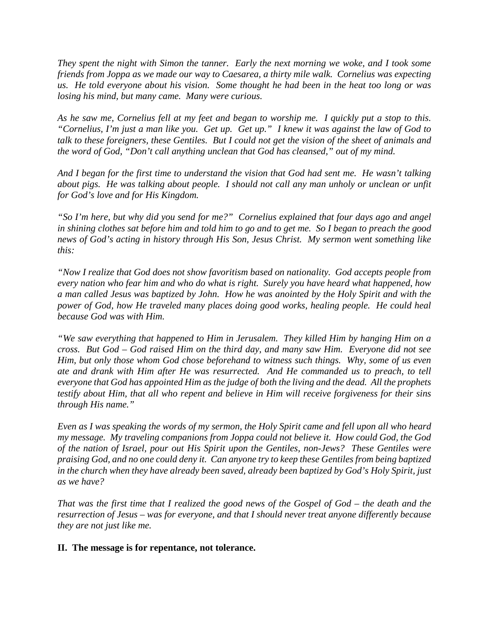*They spent the night with Simon the tanner. Early the next morning we woke, and I took some friends from Joppa as we made our way to Caesarea, a thirty mile walk. Cornelius was expecting us. He told everyone about his vision. Some thought he had been in the heat too long or was losing his mind, but many came. Many were curious.*

*As he saw me, Cornelius fell at my feet and began to worship me. I quickly put a stop to this. "Cornelius, I'm just a man like you. Get up. Get up." I knew it was against the law of God to talk to these foreigners, these Gentiles. But I could not get the vision of the sheet of animals and the word of God, "Don't call anything unclean that God has cleansed," out of my mind.* 

*And I began for the first time to understand the vision that God had sent me. He wasn't talking about pigs. He was talking about people. I should not call any man unholy or unclean or unfit for God's love and for His Kingdom.*

*"So I'm here, but why did you send for me?" Cornelius explained that four days ago and angel in shining clothes sat before him and told him to go and to get me. So I began to preach the good news of God's acting in history through His Son, Jesus Christ. My sermon went something like this:*

*"Now I realize that God does not show favoritism based on nationality. God accepts people from every nation who fear him and who do what is right. Surely you have heard what happened, how a man called Jesus was baptized by John. How he was anointed by the Holy Spirit and with the power of God, how He traveled many places doing good works, healing people. He could heal because God was with Him.* 

*"We saw everything that happened to Him in Jerusalem. They killed Him by hanging Him on a cross. But God – God raised Him on the third day, and many saw Him. Everyone did not see Him, but only those whom God chose beforehand to witness such things. Why, some of us even ate and drank with Him after He was resurrected. And He commanded us to preach, to tell everyone that God has appointed Him as the judge of both the living and the dead. All the prophets testify about Him, that all who repent and believe in Him will receive forgiveness for their sins through His name."* 

*Even as I was speaking the words of my sermon, the Holy Spirit came and fell upon all who heard my message. My traveling companions from Joppa could not believe it. How could God, the God of the nation of Israel, pour out His Spirit upon the Gentiles, non-Jews? These Gentiles were praising God, and no one could deny it. Can anyone try to keep these Gentiles from being baptized in the church when they have already been saved, already been baptized by God's Holy Spirit, just as we have?*

*That was the first time that I realized the good news of the Gospel of God – the death and the resurrection of Jesus – was for everyone, and that I should never treat anyone differently because they are not just like me.*

## **II.****The message is for repentance, not tolerance.**